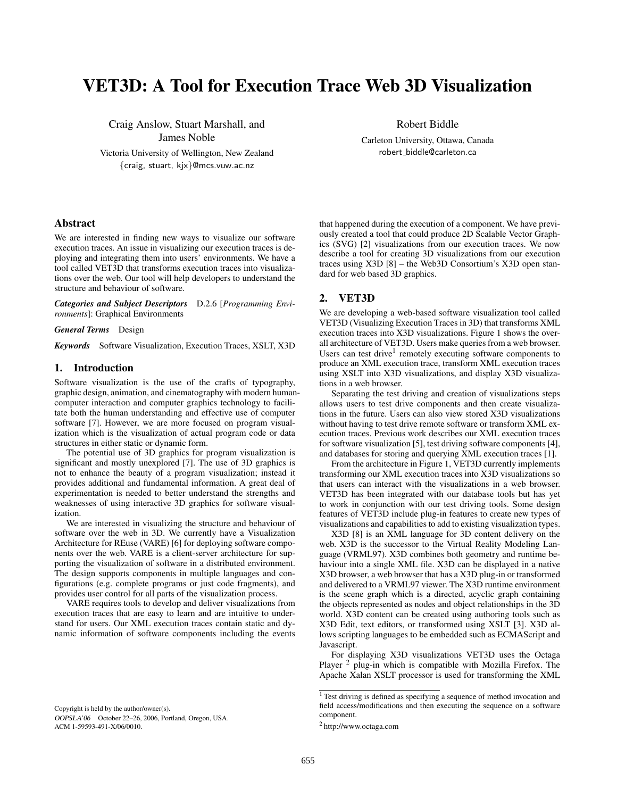# VET3D: A Tool for Execution Trace Web 3D Visualization

Craig Anslow, Stuart Marshall, and James Noble

Victoria University of Wellington, New Zealand {craig, stuart, kjx}@mcs.vuw.ac.nz

Robert Biddle

Carleton University, Ottawa, Canada robert biddle@carleton.ca

# Abstract

We are interested in finding new ways to visualize our software execution traces. An issue in visualizing our execution traces is deploying and integrating them into users' environments. We have a tool called VET3D that transforms execution traces into visualizations over the web. Our tool will help developers to understand the structure and behaviour of software.

*Categories and Subject Descriptors* D.2.6 [*Programming Environments*]: Graphical Environments

*General Terms* Design

*Keywords* Software Visualization, Execution Traces, XSLT, X3D

### 1. Introduction

Software visualization is the use of the crafts of typography, graphic design, animation, and cinematography with modern humancomputer interaction and computer graphics technology to facilitate both the human understanding and effective use of computer software [7]. However, we are more focused on program visualization which is the visualization of actual program code or data structures in either static or dynamic form.

The potential use of 3D graphics for program visualization is significant and mostly unexplored [7]. The use of 3D graphics is not to enhance the beauty of a program visualization; instead it provides additional and fundamental information. A great deal of experimentation is needed to better understand the strengths and weaknesses of using interactive 3D graphics for software visualization.

We are interested in visualizing the structure and behaviour of software over the web in 3D. We currently have a Visualization Architecture for REuse (VARE) [6] for deploying software components over the web. VARE is a client-server architecture for supporting the visualization of software in a distributed environment. The design supports components in multiple languages and configurations (e.g. complete programs or just code fragments), and provides user control for all parts of the visualization process.

VARE requires tools to develop and deliver visualizations from execution traces that are easy to learn and are intuitive to understand for users. Our XML execution traces contain static and dynamic information of software components including the events

Copyright is held by the author/owner(s). OOPSLA'06 October 22–26, 2006, Portland, Oregon, USA. ACM 1-59593-491-X/06/0010.

that happened during the execution of a component. We have previously created a tool that could produce 2D Scalable Vector Graphics (SVG) [2] visualizations from our execution traces. We now describe a tool for creating 3D visualizations from our execution traces using X3D [8] – the Web3D Consortium's X3D open standard for web based 3D graphics.

# 2. VET3D

We are developing a web-based software visualization tool called VET3D (Visualizing Execution Traces in 3D) that transforms XML execution traces into X3D visualizations. Figure 1 shows the overall architecture of VET3D. Users make queries from a web browser. Users can test drive<sup>1</sup> remotely executing software components to produce an XML execution trace, transform XML execution traces using XSLT into X3D visualizations, and display X3D visualizations in a web browser.

Separating the test driving and creation of visualizations steps allows users to test drive components and then create visualizations in the future. Users can also view stored X3D visualizations without having to test drive remote software or transform XML execution traces. Previous work describes our XML execution traces for software visualization [5], test driving software components [4], and databases for storing and querying XML execution traces [1].

From the architecture in Figure 1, VET3D currently implements transforming our XML execution traces into X3D visualizations so that users can interact with the visualizations in a web browser. VET3D has been integrated with our database tools but has yet to work in conjunction with our test driving tools. Some design features of VET3D include plug-in features to create new types of visualizations and capabilities to add to existing visualization types.

X3D [8] is an XML language for 3D content delivery on the web. X3D is the successor to the Virtual Reality Modeling Language (VRML97). X3D combines both geometry and runtime behaviour into a single XML file. X3D can be displayed in a native X3D browser, a web browser that has a X3D plug-in or transformed and delivered to a VRML97 viewer. The X3D runtime environment is the scene graph which is a directed, acyclic graph containing the objects represented as nodes and object relationships in the 3D world. X3D content can be created using authoring tools such as X3D Edit, text editors, or transformed using XSLT [3]. X3D allows scripting languages to be embedded such as ECMAScript and Javascript.

For displaying X3D visualizations VET3D uses the Octaga Player <sup>2</sup> plug-in which is compatible with Mozilla Firefox. The Apache Xalan XSLT processor is used for transforming the XML

<sup>&</sup>lt;sup>1</sup> Test driving is defined as specifying a sequence of method invocation and field access/modifications and then executing the sequence on a software component.

<sup>2</sup> http://www.octaga.com